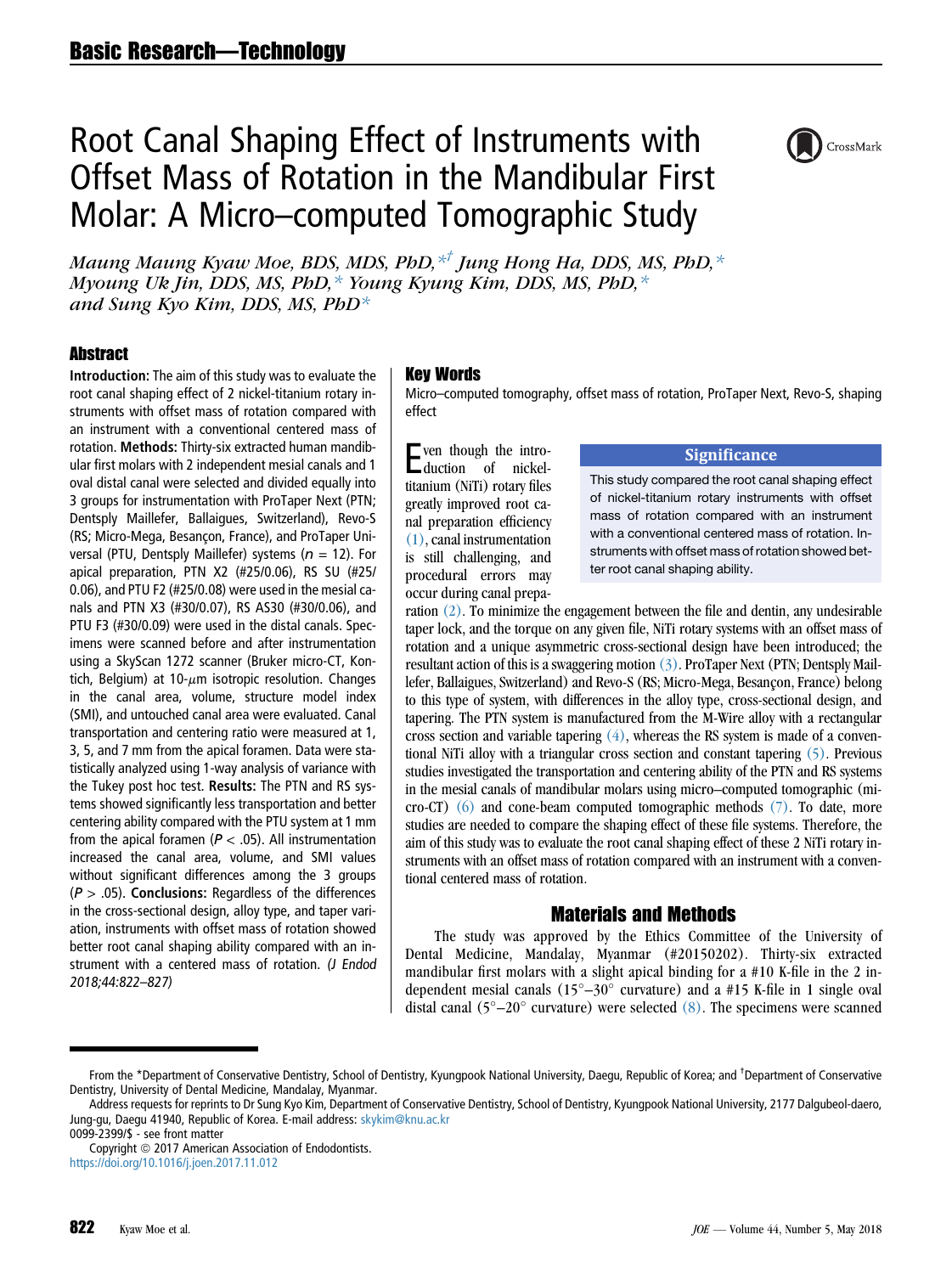# Root Canal Shaping Effect of Instruments with Offset Mass of Rotation in the Mandibular First Molar: A Micro–computed Tomographic Study



Maung Maung Kyaw Moe, BDS, MDS, PhD, $*$ <sup>†</sup> Jung Hong Ha, DDS, MS, PhD, $*$ Myoung Uk Jin, DDS, MS, PhD,  $*$  Young Kyung Kim, DDS, MS, PhD,  $*$ and Sung Kyo Kim, DDS, MS, PhD<sup>\*</sup>

# **Abstract**

Introduction: The aim of this study was to evaluate the root canal shaping effect of 2 nickel-titanium rotary instruments with offset mass of rotation compared with an instrument with a conventional centered mass of rotation. Methods: Thirty-six extracted human mandibular first molars with 2 independent mesial canals and 1 oval distal canal were selected and divided equally into 3 groups for instrumentation with ProTaper Next (PTN; Dentsply Maillefer, Ballaigues, Switzerland), Revo-S (RS; Micro-Mega, Besançon, France), and ProTaper Universal (PTU, Dentsply Maillefer) systems ( $n = 12$ ). For apical preparation, PTN X2 (#25/0.06), RS SU (#25/ 0.06), and PTU F2 (#25/0.08) were used in the mesial canals and PTN X3 (#30/0.07), RS AS30 (#30/0.06), and PTU F3 (#30/0.09) were used in the distal canals. Specimens were scanned before and after instrumentation using a SkyScan 1272 scanner (Bruker micro-CT, Kontich, Belgium) at 10- $\mu$ m isotropic resolution. Changes in the canal area, volume, structure model index (SMI), and untouched canal area were evaluated. Canal transportation and centering ratio were measured at 1, 3, 5, and 7 mm from the apical foramen. Data were statistically analyzed using 1-way analysis of variance with the Tukey post hoc test. Results: The PTN and RS systems showed significantly less transportation and better centering ability compared with the PTU system at 1 mm from the apical foramen ( $P < .05$ ). All instrumentation increased the canal area, volume, and SMI values without significant differences among the 3 groups  $(P > .05)$ . Conclusions: Regardless of the differences in the cross-sectional design, alloy type, and taper variation, instruments with offset mass of rotation showed better root canal shaping ability compared with an instrument with a centered mass of rotation. (J Endod 2018;44:822–827)

#### Key Words

Micro–computed tomography, offset mass of rotation, ProTaper Next, Revo-S, shaping effect

Even though the intro-duction of nickeltitanium (NiTi) rotary files greatly improved root canal preparation efficiency [\(1\)](#page-4-0), canal instrumentation is still challenging, and procedural errors may occur during canal prepa-

#### **Significance**

This study compared the root canal shaping effect of nickel-titanium rotary instruments with offset mass of rotation compared with an instrument with a conventional centered mass of rotation. Instruments with offset mass of rotation showed better root canal shaping ability.

ration [\(2\)](#page-4-0). To minimize the engagement between the file and dentin, any undesirable taper lock, and the torque on any given file, NiTi rotary systems with an offset mass of rotation and a unique asymmetric cross-sectional design have been introduced; the resultant action of this is a swaggering motion [\(3\)](#page-4-0). ProTaper Next (PTN; Dentsply Maillefer, Ballaigues, Switzerland) and Revo-S (RS; Micro-Mega, Besancon, France) belong to this type of system, with differences in the alloy type, cross-sectional design, and tapering. The PTN system is manufactured from the M-Wire alloy with a rectangular cross section and variable tapering [\(4\)](#page-4-0), whereas the RS system is made of a conventional NiTi alloy with a triangular cross section and constant tapering [\(5\).](#page-4-0) Previous studies investigated the transportation and centering ability of the PTN and RS systems in the mesial canals of mandibular molars using micro–computed tomographic (micro-CT) [\(6\)](#page-4-0) and cone-beam computed tomographic methods [\(7\).](#page-4-0) To date, more studies are needed to compare the shaping effect of these file systems. Therefore, the aim of this study was to evaluate the root canal shaping effect of these 2 NiTi rotary instruments with an offset mass of rotation compared with an instrument with a conventional centered mass of rotation.

# Materials and Methods

The study was approved by the Ethics Committee of the University of Dental Medicine, Mandalay, Myanmar (#20150202). Thirty-six extracted mandibular first molars with a slight apical binding for a #10 K-file in the 2 independent mesial canals  $(15^{\circ}-30^{\circ}$  curvature) and a #15 K-file in 1 single oval distal canal  $(5^{\circ}-20^{\circ}$  curvature) were selected  $(8)$ . The specimens were scanned

From the \*Department of Conservative Dentistry, School of Dentistry, Kyungpook National University, Daegu, Republic of Korea; and <sup>†</sup>Department of Conservative Dentistry, University of Dental Medicine, Mandalay, Myanmar.

Address requests for reprints to Dr Sung Kyo Kim, Department of Conservative Dentistry, School of Dentistry, Kyungpook National University, 2177 Dalgubeol-daero, Jung-gu, Daegu 41940, Republic of Korea. E-mail address: [skykim@knu.ac.kr](mailto:skykim@knu.ac.kr)

<sup>0099-2399/\$ -</sup> see front matter

Copyright @ 2017 American Association of Endodontists. <https://doi.org/10.1016/j.joen.2017.11.012>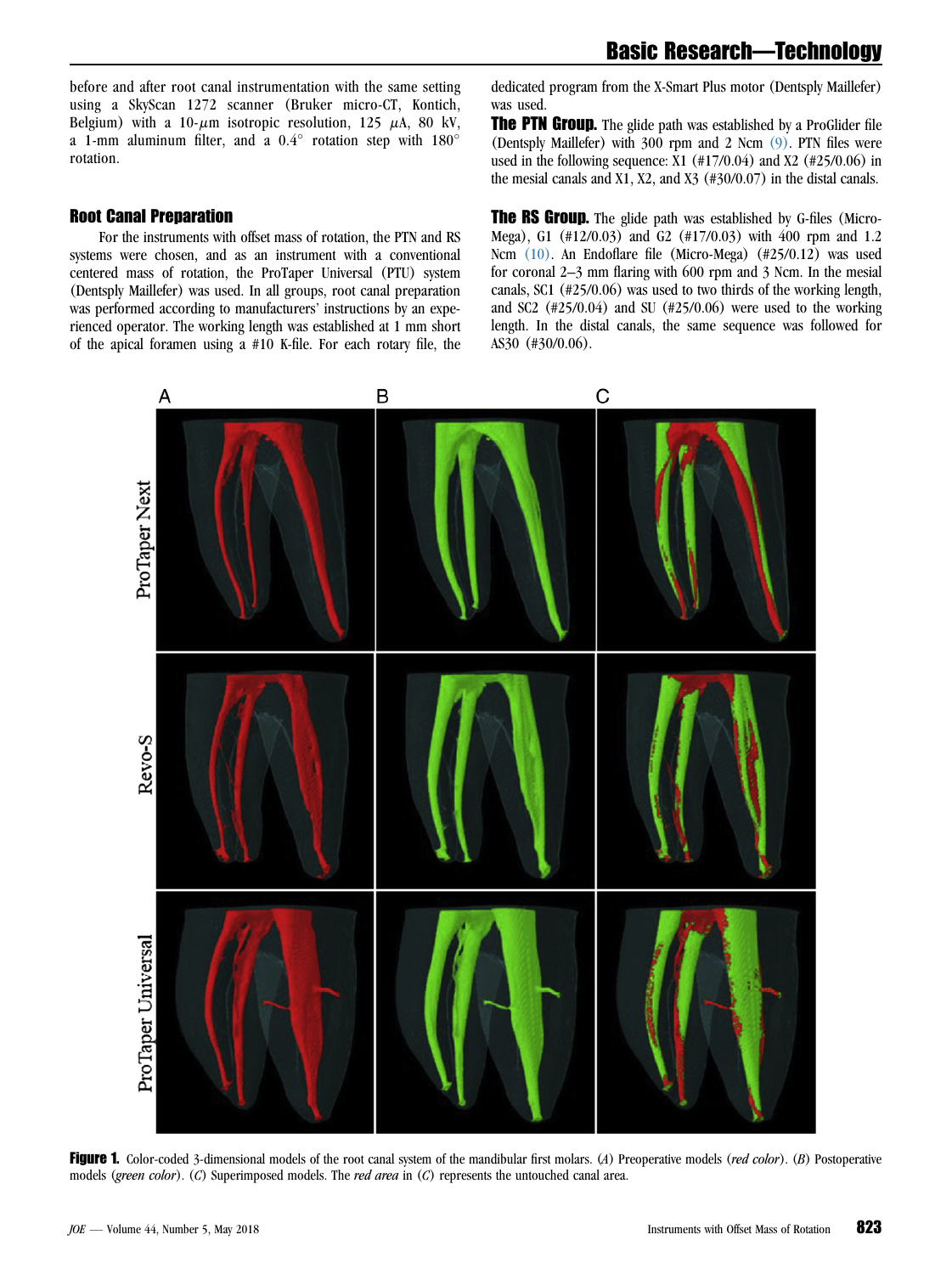Basic Research—Technology

<span id="page-1-0"></span>before and after root canal instrumentation with the same setting using a SkyScan 1272 scanner (Bruker micro-CT, Kontich, Belgium) with a 10- $\mu$ m isotropic resolution, 125  $\mu$ A, 80 kV, a 1-mm aluminum filter, and a  $0.4^{\circ}$  rotation step with  $180^{\circ}$ rotation.

## Root Canal Preparation

For the instruments with offset mass of rotation, the PTN and RS systems were chosen, and as an instrument with a conventional centered mass of rotation, the ProTaper Universal (PTU) system (Dentsply Maillefer) was used. In all groups, root canal preparation was performed according to manufacturers' instructions by an experienced operator. The working length was established at 1 mm short of the apical foramen using a #10 K-file. For each rotary file, the

dedicated program from the X-Smart Plus motor (Dentsply Maillefer) was used.

**The PTN Group.** The glide path was established by a ProGlider file (Dentsply Maillefer) with 300 rpm and 2 Ncm [\(9\).](#page-5-0) PTN files were used in the following sequence:  $X1$  (#17/0.04) and  $X2$  (#25/0.06) in the mesial canals and X1, X2, and X3 (#30/0.07) in the distal canals.

**The RS Group.** The glide path was established by G-files (Micro-Mega), G1 (#12/0.03) and G2 (#17/0.03) with 400 rpm and 1.2 Ncm [\(10\).](#page-5-0) An Endoflare file (Micro-Mega) (#25/0.12) was used for coronal 2–3 mm flaring with 600 rpm and 3 Ncm. In the mesial canals, SC1 (#25/0.06) was used to two thirds of the working length, and SC2 (#25/0.04) and SU (#25/0.06) were used to the working length. In the distal canals, the same sequence was followed for AS30 (#30/0.06).



Figure 1. Color-coded 3-dimensional models of the root canal system of the mandibular first molars. (A) Preoperative models (red color). (B) Postoperative models (green color). (C) Superimposed models. The red area in (C) represents the untouched canal area.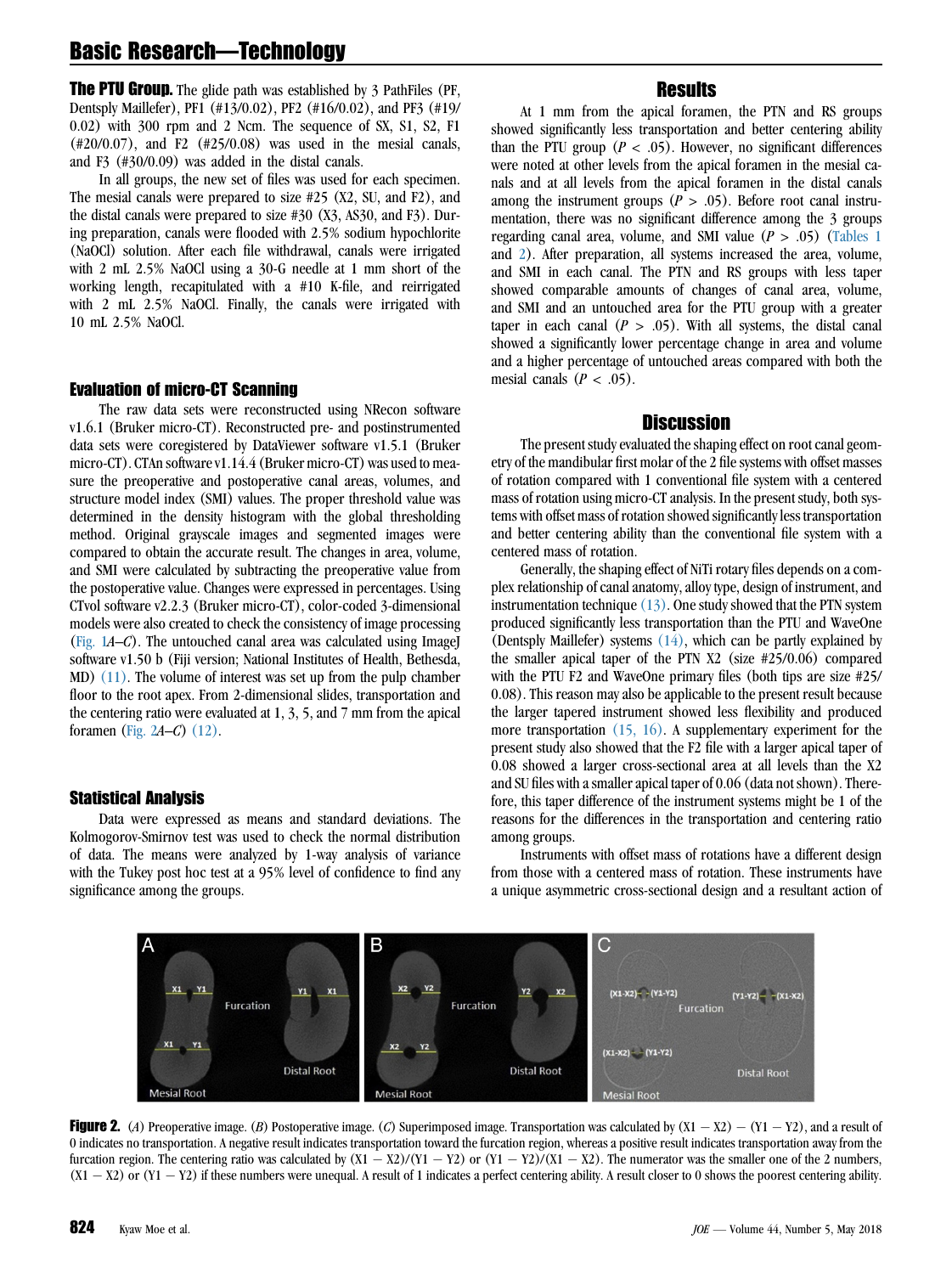# Basic Research—Technology

**The PTU Group.** The glide path was established by 3 PathFiles (PF, Dentsply Maillefer), PF1 (#13/0.02), PF2 (#16/0.02), and PF3 (#19/ 0.02) with 300 rpm and 2 Ncm. The sequence of SX, S1, S2, F1 (#20/0.07), and F2 (#25/0.08) was used in the mesial canals, and F3 (#30/0.09) was added in the distal canals.

In all groups, the new set of files was used for each specimen. The mesial canals were prepared to size #25 (X2, SU, and F2), and the distal canals were prepared to size #30 (X3, AS30, and F3). During preparation, canals were flooded with 2.5% sodium hypochlorite (NaOCl) solution. After each file withdrawal, canals were irrigated with 2 mL 2.5% NaOCl using a 30-G needle at 1 mm short of the working length, recapitulated with a #10 K-file, and reirrigated with 2 mL 2.5% NaOCl. Finally, the canals were irrigated with 10 mL 2.5% NaOCl.

#### Evaluation of micro-CT Scanning

The raw data sets were reconstructed using NRecon software v1.6.1 (Bruker micro-CT). Reconstructed pre- and postinstrumented data sets were coregistered by DataViewer software v1.5.1 (Bruker micro-CT). CTAn software v1.14.4 (Bruker micro-CT) was used to measure the preoperative and postoperative canal areas, volumes, and structure model index (SMI) values. The proper threshold value was determined in the density histogram with the global thresholding method. Original grayscale images and segmented images were compared to obtain the accurate result. The changes in area, volume, and SMI were calculated by subtracting the preoperative value from the postoperative value. Changes were expressed in percentages. Using CTvol software v2.2.3 (Bruker micro-CT), color-coded 3-dimensional models were also created to check the consistency of image processing ([Fig. 1](#page-1-0)A–C). The untouched canal area was calculated using ImageJ software v1.50 b (Fiji version; National Institutes of Health, Bethesda, MD) [\(11\)](#page-5-0). The volume of interest was set up from the pulp chamber floor to the root apex. From 2-dimensional slides, transportation and the centering ratio were evaluated at 1, 3, 5, and 7 mm from the apical foramen (Fig. 2A–C) [\(12\)](#page-5-0).

## Statistical Analysis

Data were expressed as means and standard deviations. The Kolmogorov-Smirnov test was used to check the normal distribution of data. The means were analyzed by 1-way analysis of variance with the Tukey post hoc test at a 95% level of confidence to find any significance among the groups.

# **Results**

At 1 mm from the apical foramen, the PTN and RS groups showed significantly less transportation and better centering ability than the PTU group ( $P < .05$ ). However, no significant differences were noted at other levels from the apical foramen in the mesial canals and at all levels from the apical foramen in the distal canals among the instrument groups ( $P > .05$ ). Before root canal instrumentation, there was no significant difference among the 3 groups regarding canal area, volume, and SMI value  $(P > .05)$  ([Tables 1](#page-3-0)) and [2](#page-3-0)). After preparation, all systems increased the area, volume, and SMI in each canal. The PTN and RS groups with less taper showed comparable amounts of changes of canal area, volume, and SMI and an untouched area for the PTU group with a greater taper in each canal  $(P > .05)$ . With all systems, the distal canal showed a significantly lower percentage change in area and volume and a higher percentage of untouched areas compared with both the mesial canals  $(P < .05)$ .

#### **Discussion**

The present study evaluated the shaping effect on root canal geometry of the mandibular first molar of the 2 file systems with offset masses of rotation compared with 1 conventional file system with a centered mass of rotation using micro-CT analysis. In the present study, both systems with offset mass of rotation showed significantly less transportation and better centering ability than the conventional file system with a centered mass of rotation.

Generally, the shaping effect of NiTi rotary files depends on a complex relationship of canal anatomy, alloy type, design of instrument, and instrumentation technique  $(13)$ . One study showed that the PTN system produced significantly less transportation than the PTU and WaveOne (Dentsply Maillefer) systems [\(14\),](#page-5-0) which can be partly explained by the smaller apical taper of the PTN X2 (size #25/0.06) compared with the PTU F2 and WaveOne primary files (both tips are size #25/ 0.08). This reason may also be applicable to the present result because the larger tapered instrument showed less flexibility and produced more transportation [\(15, 16\).](#page-5-0) A supplementary experiment for the present study also showed that the F2 file with a larger apical taper of 0.08 showed a larger cross-sectional area at all levels than the X2 and SU files with a smaller apical taper of 0.06 (data not shown). Therefore, this taper difference of the instrument systems might be 1 of the reasons for the differences in the transportation and centering ratio among groups.

Instruments with offset mass of rotations have a different design from those with a centered mass of rotation. These instruments have a unique asymmetric cross-sectional design and a resultant action of



Figure 2. (A) Preoperative image. (B) Postoperative image. (C) Superimposed image. Transportation was calculated by  $(X1 - X2) - (Y1 - Y2)$ , and a result of 0 indicates no transportation. A negative result indicates transportation toward the furcation region, whereas a positive result indicates transportation away from the furcation region. The centering ratio was calculated by  $(X1 - X2)/(Y1 - Y2)$  or  $(Y1 - Y2)/(X1 - X2)$ . The numerator was the smaller one of the 2 numbers,  $(X1 - X2)$  or  $(Y1 - Y2)$  if these numbers were unequal. A result of 1 indicates a perfect centering ability. A result closer to 0 shows the poorest centering ability.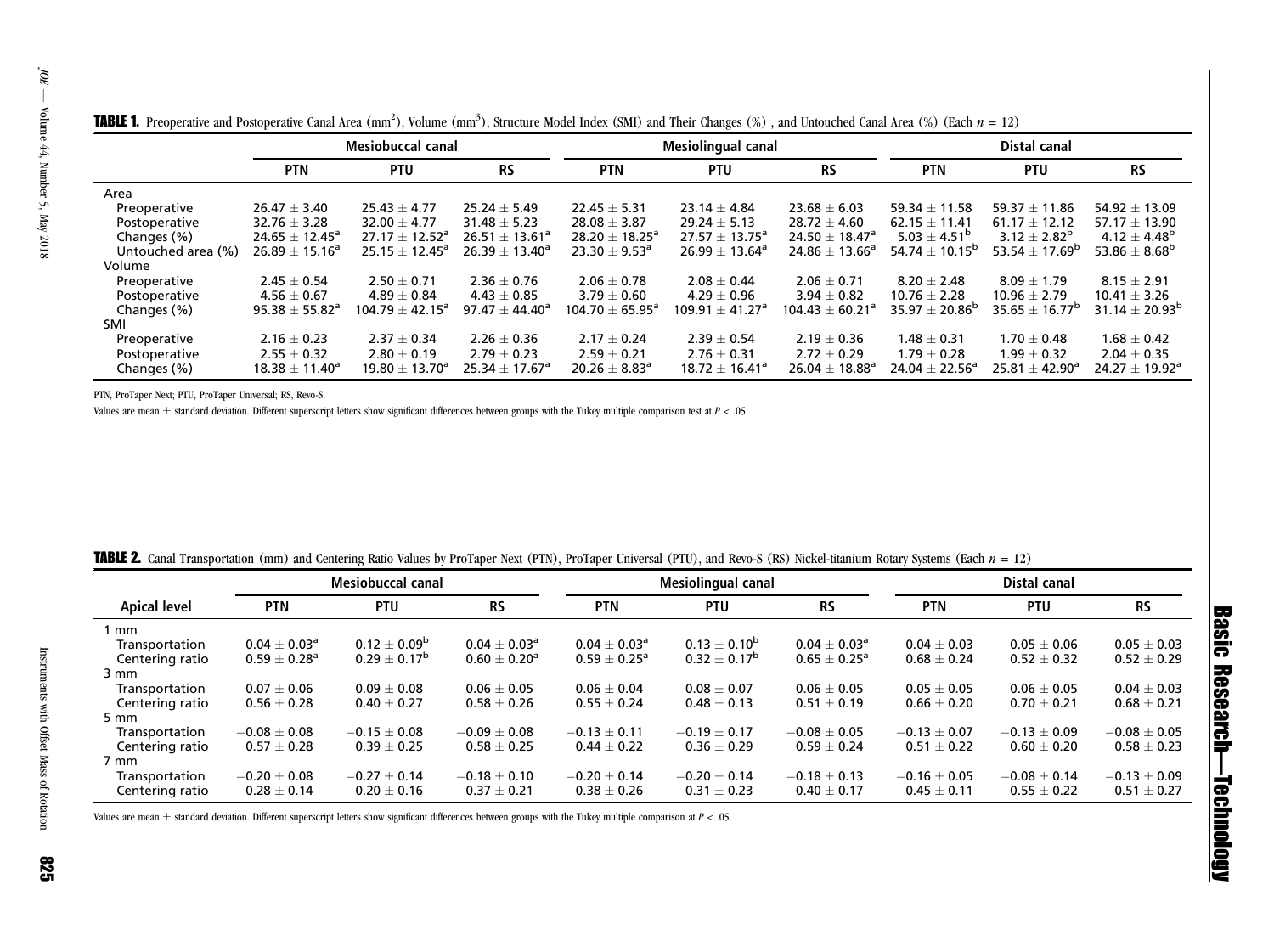|                    | <b>Mesiobuccal canal</b> |                      |                                | Mesiolingual canal             |                     |                                | Distal canal                   |                                |                               |
|--------------------|--------------------------|----------------------|--------------------------------|--------------------------------|---------------------|--------------------------------|--------------------------------|--------------------------------|-------------------------------|
|                    | <b>PTN</b>               | <b>PTU</b>           | <b>RS</b>                      | <b>PTN</b>                     | <b>PTU</b>          | <b>RS</b>                      | <b>PTN</b>                     | <b>PTU</b>                     | <b>RS</b>                     |
| Area               |                          |                      |                                |                                |                     |                                |                                |                                |                               |
| Preoperative       | $26.47 \pm 3.40$         | $25.43 + 4.77$       | $25.24 + 5.49$                 | $22.45 + 5.31$                 | $23.14 + 4.84$      | $23.68 \pm 6.03$               | $59.34 + 11.58$                | 59.37 $\pm$ 11.86              | $54.92 \pm 13.09$             |
| Postoperative      | $32.76 \pm 3.28$         | $32.00 \pm 4.77$     | $31.48 + 5.23$                 | $28.08 \pm 3.87$               | $29.24 \pm 5.13$    | $28.72 \pm 4.60$               | $62.15 + 11.41$                | $61.17 \pm 12.12$              | 57.17 $\pm$ 13.90             |
| Changes (%)        | $24.65 \pm 12.45^a$      | $27.17 \pm 12.52^a$  | $26.51 \pm 13.61^a$            | 28.20 $\pm$ 18.25 <sup>a</sup> | $27.57 \pm 13.75^a$ | 24.50 $\pm$ 18.47 <sup>a</sup> | $5.03 + 4.51^b$                | $3.12 \pm 2.82^b$              | $4.12 \pm 4.48^{\rm b}$       |
| Untouched area (%) | $26.89 \pm 15.16^a$      | $25.15 + 12.45^a$    | 26.39 $\pm$ 13.40 <sup>a</sup> | $23.30 \pm 9.53^a$             | $26.99 \pm 13.64^a$ | 24.86 $\pm$ 13.66 <sup>a</sup> | 54.74 $\pm$ 10.15 <sup>b</sup> | 53.54 $\pm$ 17.69 <sup>b</sup> | 53.86 $\pm$ 8.68 <sup>b</sup> |
| Volume             |                          |                      |                                |                                |                     |                                |                                |                                |                               |
| Preoperative       | $2.45 \pm 0.54$          | $2.50 + 0.71$        | $2.36 + 0.76$                  | $2.06 + 0.78$                  | $2.08 + 0.44$       | $2.06 + 0.71$                  | $8.20 + 2.48$                  | $8.09 + 1.79$                  | $8.15 + 2.91$                 |
| Postoperative      | $4.56 \pm 0.67$          | $4.89 + 0.84$        | $4.43 \pm 0.85$                | $3.79 \pm 0.60$                | $4.29 + 0.96$       | $3.94 + 0.82$                  | $10.76 + 2.28$                 | $10.96 \pm 2.79$               | $10.41 \pm 3.26$              |
| Changes (%)        | $95.38 \pm 55.82^a$      | $104.79 \pm 42.15^a$ | $97.47 + 44.40^{\circ}$        | $104.70 + 65.95^{\circ}$       | $109.91 + 41.27a$   | $104.43 + 60.21a$              | $35.97 + 20.86^{b}$            | $35.65 \pm 16.77^{\circ}$      | $31.14 \pm 20.93^{\text{b}}$  |
| SMI                |                          |                      |                                |                                |                     |                                |                                |                                |                               |
| Preoperative       | $2.16 \pm 0.23$          | $2.37 \pm 0.34$      | $2.26 \pm 0.36$                | $2.17 \pm 0.24$                | $2.39 \pm 0.54$     | $2.19 \pm 0.36$                | $1.48 \pm 0.31$                | $1.70 \pm 0.48$                | $1.68 \pm 0.42$               |
| Postoperative      | $2.55 + 0.32$            | $2.80 + 0.19$        | $2.79 + 0.23$                  | $2.59 + 0.21$                  | $2.76 + 0.31$       | $2.72 + 0.29$                  | $1.79 + 0.28$                  | $1.99 + 0.32$                  | $2.04 \pm 0.35$               |
| Changes (%)        | $18.38 \pm 11.40^a$      | $19.80 \pm 13.70^a$  | $25.34 \pm 17.67$ <sup>a</sup> | $20.26 \pm 8.83$ <sup>a</sup>  | $18.72 \pm 16.41^a$ | $26.04 \pm 18.88^a$            | 24.04 $\pm$ 22.56 <sup>a</sup> | $25.81 \pm 42.90^a$            | $24.27 \pm 19.92^a$           |

<span id="page-3-0"></span>**TABLE 1.** Preoperative and Postoperative Canal Area (mm<sup>2</sup>), Volume (mm<sup>3</sup>), Structure Model Index (SMI) and Their Changes (%), and Untouched Canal Area (%) (Each  $n = 12$ )

PTN, ProTaper Next; PTU, ProTaper Universal; RS, Revo-S.

Values are mean  $\pm$  standard deviation. Different superscript letters show significant differences between groups with the Tukey multiple comparison test at  $P < .05$ .

|                     |                         | <b>Mesiobuccal canal</b> |                            |                            | Mesiolingual canal |                            |                  | Distal canal     |                  |  |
|---------------------|-------------------------|--------------------------|----------------------------|----------------------------|--------------------|----------------------------|------------------|------------------|------------------|--|
| <b>Apical level</b> | <b>PTN</b>              | <b>PTU</b>               | <b>RS</b>                  | <b>PTN</b>                 | <b>PTU</b>         | <b>RS</b>                  | <b>PTN</b>       | <b>PTU</b>       | <b>RS</b>        |  |
| mm                  |                         |                          |                            |                            |                    |                            |                  |                  |                  |  |
| Transportation      | $0.04 \pm 0.03^{\rm a}$ | $0.12 + 0.09^b$          | $0.04 + 0.03$ <sup>a</sup> | $0.04 + 0.03$ <sup>a</sup> | $0.13 + 0.10^{b}$  | $0.04 + 0.03$ <sup>a</sup> | $0.04 + 0.03$    | $0.05 + 0.06$    | $0.05 + 0.03$    |  |
| Centering ratio     | $0.59 \pm 0.28^{\rm a}$ | $0.29 \pm 0.17^{\rm b}$  | $0.60 + 0.20$ <sup>a</sup> | $0.59 + 0.25^{\circ}$      | $0.32 \pm 0.17^b$  | $0.65 + 0.25^{\circ}$      | $0.68 \pm 0.24$  | $0.52 \pm 0.32$  | $0.52 \pm 0.29$  |  |
| 3 mm                |                         |                          |                            |                            |                    |                            |                  |                  |                  |  |
| Transportation      | $0.07 \pm 0.06$         | $0.09 + 0.08$            | $0.06 + 0.05$              | $0.06 + 0.04$              | $0.08 \pm 0.07$    | $0.06 + 0.05$              | $0.05 + 0.05$    | $0.06 \pm 0.05$  | $0.04 \pm 0.03$  |  |
| Centering ratio     | $0.56 \pm 0.28$         | $0.40 \pm 0.27$          | $0.58 \pm 0.26$            | $0.55 \pm 0.24$            | $0.48 \pm 0.13$    | $0.51 \pm 0.19$            | $0.66\pm0.20$    | $0.70 \pm 0.21$  | $0.68 \pm 0.21$  |  |
| 5 mm                |                         |                          |                            |                            |                    |                            |                  |                  |                  |  |
| Transportation      | $-0.08 \pm 0.08$        | $-0.15 + 0.08$           | $-0.09 + 0.08$             | $-0.13 + 0.11$             | $-0.19 + 0.17$     | $-0.08 + 0.05$             | $-0.13 + 0.07$   | $-0.13 + 0.09$   | $-0.08 \pm 0.05$ |  |
| Centering ratio     | $0.57 \pm 0.28$         | $0.39 \pm 0.25$          | $0.58 \pm 0.25$            | $0.44 \pm 0.22$            | $0.36 \pm 0.29$    | $0.59 + 0.24$              | $0.51 \pm 0.22$  | $0.60 \pm 0.20$  | $0.58 \pm 0.23$  |  |
| 7 mm                |                         |                          |                            |                            |                    |                            |                  |                  |                  |  |
| Transportation      | $-0.20 \pm 0.08$        | $-0.27 \pm 0.14$         | $-0.18 + 0.10$             | $-0.20 + 0.14$             | $-0.20 \pm 0.14$   | $-0.18 \pm 0.13$           | $-0.16 \pm 0.05$ | $-0.08 \pm 0.14$ | $-0.13 \pm 0.09$ |  |
| Centering ratio     | $0.28 \pm 0.14$         | $0.20 \pm 0.16$          | $0.37 \pm 0.21$            | $0.38 \pm 0.26$            | $0.31 \pm 0.23$    | $0.40 \pm 0.17$            | $0.45 \pm 0.11$  | $0.55 \pm 0.22$  | $0.51 \pm 0.27$  |  |

| <b>TABLE 2.</b> Canal Transportation (mm) and Centering Ratio Values by ProTaper Next (PTN), ProTaper Universal (PTU), and Revo-S (RS) Nickel-titanium Rotary Systems (Each $n = 12$ ) |  |
|----------------------------------------------------------------------------------------------------------------------------------------------------------------------------------------|--|
|----------------------------------------------------------------------------------------------------------------------------------------------------------------------------------------|--|

Values are mean  $\pm$  standard deviation. Different superscript letters show significant differences between groups with the Tukey multiple comparison at  $P < .05.$ 

Basic Research

—Technology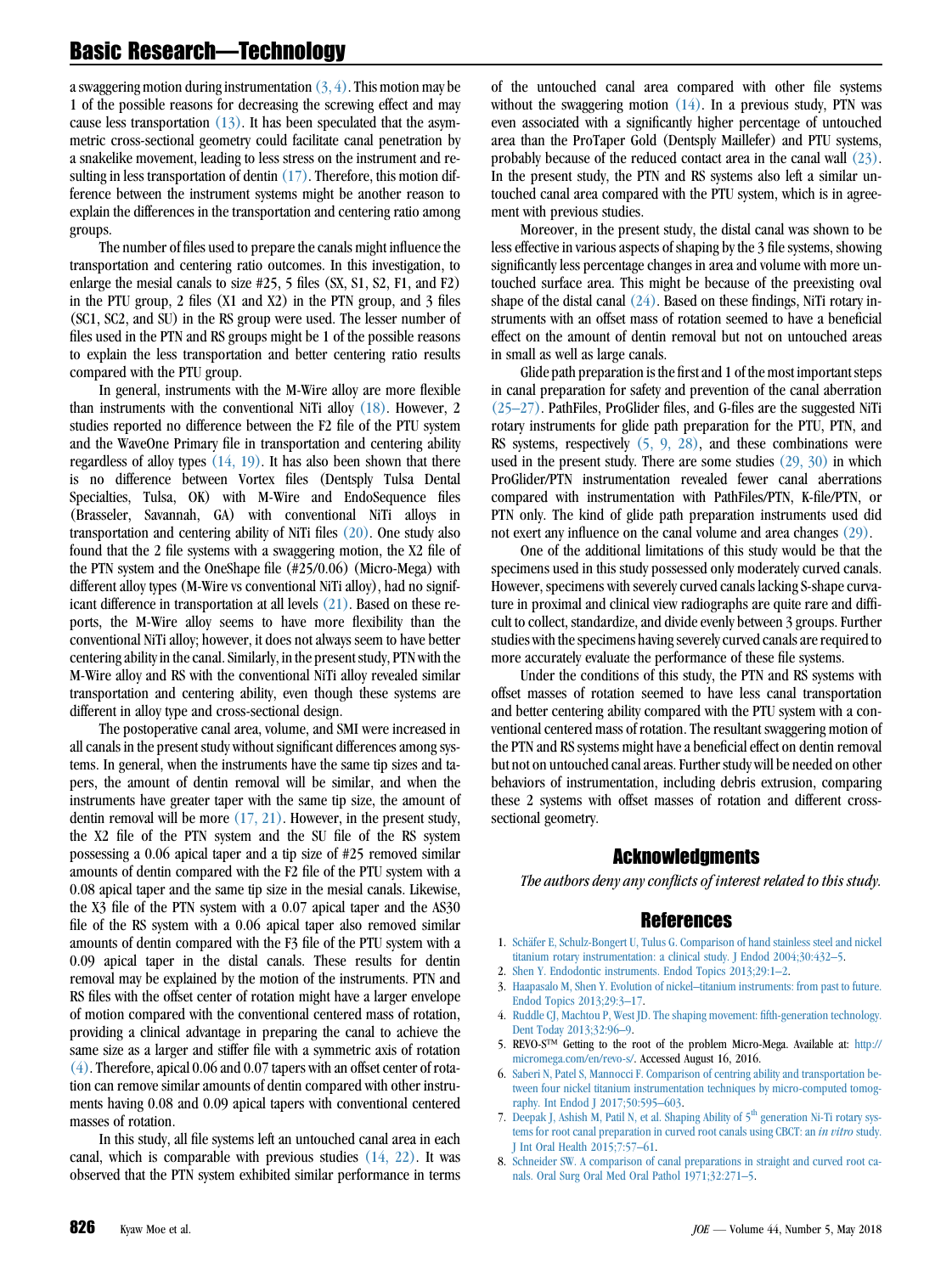<span id="page-4-0"></span>a swaggering motion during instrumentation  $(3, 4)$ . This motion may be 1 of the possible reasons for decreasing the screwing effect and may cause less transportation  $(13)$ . It has been speculated that the asymmetric cross-sectional geometry could facilitate canal penetration by a snakelike movement, leading to less stress on the instrument and resulting in less transportation of dentin  $(17)$ . Therefore, this motion difference between the instrument systems might be another reason to explain the differences in the transportation and centering ratio among groups.

The number of files used to prepare the canals might influence the transportation and centering ratio outcomes. In this investigation, to enlarge the mesial canals to size #25, 5 files (SX, S1, S2, F1, and F2) in the PTU group, 2 files (X1 and X2) in the PTN group, and 3 files (SC1, SC2, and SU) in the RS group were used. The lesser number of files used in the PTN and RS groups might be 1 of the possible reasons to explain the less transportation and better centering ratio results compared with the PTU group.

In general, instruments with the M-Wire alloy are more flexible than instruments with the conventional NiTi alloy [\(18\)](#page-5-0). However, 2 studies reported no difference between the F2 file of the PTU system and the WaveOne Primary file in transportation and centering ability regardless of alloy types [\(14, 19\)](#page-5-0). It has also been shown that there is no difference between Vortex files (Dentsply Tulsa Dental Specialties, Tulsa, OK) with M-Wire and EndoSequence files (Brasseler, Savannah, GA) with conventional NiTi alloys in transportation and centering ability of NiTi files [\(20\)](#page-5-0). One study also found that the 2 file systems with a swaggering motion, the X2 file of the PTN system and the OneShape file (#25/0.06) (Micro-Mega) with different alloy types (M-Wire vs conventional NiTi alloy), had no significant difference in transportation at all levels [\(21\).](#page-5-0) Based on these reports, the M-Wire alloy seems to have more flexibility than the conventional NiTi alloy; however, it does not always seem to have better centering ability in the canal. Similarly, in the present study, PTN with the M-Wire alloy and RS with the conventional NiTi alloy revealed similar transportation and centering ability, even though these systems are different in alloy type and cross-sectional design.

The postoperative canal area, volume, and SMI were increased in all canals in the present study without significant differences among systems. In general, when the instruments have the same tip sizes and tapers, the amount of dentin removal will be similar, and when the instruments have greater taper with the same tip size, the amount of dentin removal will be more  $(17, 21)$ . However, in the present study, the X2 file of the PTN system and the SU file of the RS system possessing a 0.06 apical taper and a tip size of #25 removed similar amounts of dentin compared with the F2 file of the PTU system with a 0.08 apical taper and the same tip size in the mesial canals. Likewise, the X3 file of the PTN system with a 0.07 apical taper and the AS30 file of the RS system with a 0.06 apical taper also removed similar amounts of dentin compared with the F3 file of the PTU system with a 0.09 apical taper in the distal canals. These results for dentin removal may be explained by the motion of the instruments. PTN and RS files with the offset center of rotation might have a larger envelope of motion compared with the conventional centered mass of rotation, providing a clinical advantage in preparing the canal to achieve the same size as a larger and stiffer file with a symmetric axis of rotation (4). Therefore, apical 0.06 and 0.07 tapers with an offset center of rotation can remove similar amounts of dentin compared with other instruments having 0.08 and 0.09 apical tapers with conventional centered masses of rotation.

In this study, all file systems left an untouched canal area in each canal, which is comparable with previous studies [\(14, 22\).](#page-5-0) It was observed that the PTN system exhibited similar performance in terms of the untouched canal area compared with other file systems without the swaggering motion  $(14)$ . In a previous study, PTN was even associated with a significantly higher percentage of untouched area than the ProTaper Gold (Dentsply Maillefer) and PTU systems, probably because of the reduced contact area in the canal wall [\(23\).](#page-5-0) In the present study, the PTN and RS systems also left a similar untouched canal area compared with the PTU system, which is in agreement with previous studies.

Moreover, in the present study, the distal canal was shown to be less effective in various aspects of shaping by the 3 file systems, showing significantly less percentage changes in area and volume with more untouched surface area. This might be because of the preexisting oval shape of the distal canal  $(24)$ . Based on these findings, NiTi rotary instruments with an offset mass of rotation seemed to have a beneficial effect on the amount of dentin removal but not on untouched areas in small as well as large canals.

Glide path preparation is the first and 1 of the most important steps in canal preparation for safety and prevention of the canal aberration [\(25–27\)](#page-5-0). PathFiles, ProGlider files, and G-files are the suggested NiTi rotary instruments for glide path preparation for the PTU, PTN, and RS systems, respectively (5, 9, 28), and these combinations were used in the present study. There are some studies [\(29, 30\)](#page-5-0) in which ProGlider/PTN instrumentation revealed fewer canal aberrations compared with instrumentation with PathFiles/PTN, K-file/PTN, or PTN only. The kind of glide path preparation instruments used did not exert any influence on the canal volume and area changes [\(29\)](#page-5-0).

One of the additional limitations of this study would be that the specimens used in this study possessed only moderately curved canals. However, specimens with severely curved canals lacking S-shape curvature in proximal and clinical view radiographs are quite rare and difficult to collect, standardize, and divide evenly between 3 groups. Further studies with the specimens having severely curved canals are required to more accurately evaluate the performance of these file systems.

Under the conditions of this study, the PTN and RS systems with offset masses of rotation seemed to have less canal transportation and better centering ability compared with the PTU system with a conventional centered mass of rotation. The resultant swaggering motion of the PTN and RS systems might have a beneficial effect on dentin removal but not on untouched canal areas. Further study will be needed on other behaviors of instrumentation, including debris extrusion, comparing these 2 systems with offset masses of rotation and different crosssectional geometry.

# Acknowledgments

The authors deny any conflicts of interest related to this study.

# References

- 1. [Sch](http://refhub.elsevier.com/S0099-2399(17)31239-6/sref1)ä[fer E, Schulz-Bongert U, Tulus G. Comparison of hand stainless steel and nickel](http://refhub.elsevier.com/S0099-2399(17)31239-6/sref1) [titanium rotary instrumentation: a clinical study. J Endod 2004;30:432–5](http://refhub.elsevier.com/S0099-2399(17)31239-6/sref1).
- 2. [Shen Y. Endodontic instruments. Endod Topics 2013;29:1–2](http://refhub.elsevier.com/S0099-2399(17)31239-6/sref2).
- 3. [Haapasalo M, Shen Y. Evolution of nickel–titanium instruments: from past to future.](http://refhub.elsevier.com/S0099-2399(17)31239-6/sref3) [Endod Topics 2013;29:3–17.](http://refhub.elsevier.com/S0099-2399(17)31239-6/sref3)
- 4. [Ruddle CJ, Machtou P, West JD. The shaping movement: fifth-generation technology.](http://refhub.elsevier.com/S0099-2399(17)31239-6/sref4) [Dent Today 2013;32:96–9](http://refhub.elsevier.com/S0099-2399(17)31239-6/sref4).
- 5. REVO-S<sup>TM</sup> Getting to the root of the problem Micro-Mega. Available at: [http://](http://micromega.com/en/revo-s/) [micromega.com/en/revo-s/.](http://micromega.com/en/revo-s/) Accessed August 16, 2016.
- 6. [Saberi N, Patel S, Mannocci F. Comparison of centring ability and transportation be](http://refhub.elsevier.com/S0099-2399(17)31239-6/sref6)[tween four nickel titanium instrumentation techniques by micro-computed tomog](http://refhub.elsevier.com/S0099-2399(17)31239-6/sref6)[raphy. Int Endod J 2017;50:595–603.](http://refhub.elsevier.com/S0099-2399(17)31239-6/sref6)
- 7. [Deepak](http://refhub.elsevier.com/S0099-2399(17)31239-6/sref7) [J,](http://refhub.elsevier.com/S0099-2399(17)31239-6/sref7) [Ashish](http://refhub.elsevier.com/S0099-2399(17)31239-6/sref7) [M,](http://refhub.elsevier.com/S0099-2399(17)31239-6/sref7) [Patil](http://refhub.elsevier.com/S0099-2399(17)31239-6/sref7) [N,](http://refhub.elsevier.com/S0099-2399(17)31239-6/sref7) [et](http://refhub.elsevier.com/S0099-2399(17)31239-6/sref7) [al.](http://refhub.elsevier.com/S0099-2399(17)31239-6/sref7) [Shaping](http://refhub.elsevier.com/S0099-2399(17)31239-6/sref7) [Ability](http://refhub.elsevier.com/S0099-2399(17)31239-6/sref7) [of](http://refhub.elsevier.com/S0099-2399(17)31239-6/sref7) [5](http://refhub.elsevier.com/S0099-2399(17)31239-6/sref7)<sup>th</sup> [generation Ni-Ti rotary sys](http://refhub.elsevier.com/S0099-2399(17)31239-6/sref7)[tems for root canal preparation in curved root canals using CBCT: an](http://refhub.elsevier.com/S0099-2399(17)31239-6/sref7) in vitro study. [J Int Oral Health 2015;7:57–61.](http://refhub.elsevier.com/S0099-2399(17)31239-6/sref7)
- 8. [Schneider SW. A comparison of canal preparations in straight and curved root ca](http://refhub.elsevier.com/S0099-2399(17)31239-6/sref8)[nals. Oral Surg Oral Med Oral Pathol 1971;32:271–5](http://refhub.elsevier.com/S0099-2399(17)31239-6/sref8).